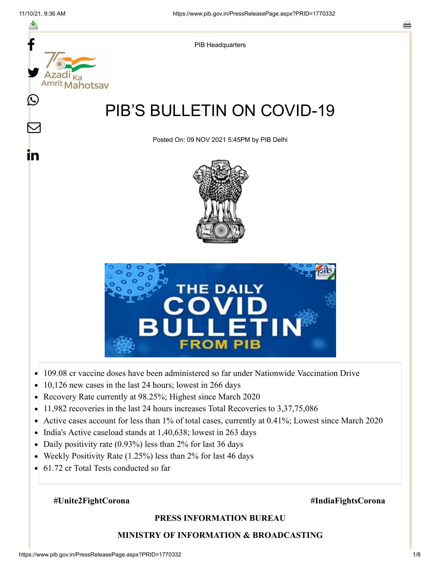

- $\bullet$
- 10,126 new cases in the last 24 hours; lowest in 266 days
- Recovery Rate currently at 98.25%; Highest since March 2020  $\bullet$
- 11,982 recoveries in the last 24 hours increases Total Recoveries to 3,37,75,086  $\bullet$
- Active cases account for less than 1% of total cases, currently at 0.41%; Lowest since March 2020  $\bullet$
- India's Active caseload stands at 1,40,638; lowest in 263 days
- Daily positivity rate (0.93%) less than 2% for last 36 days  $\bullet$
- Weekly Positivity Rate (1.25%) less than 2% for last 46 days  $\bullet$
- 61.72 cr Total Tests conducted so far  $\bullet$

## **#Unite2FightCorona #IndiaFightsCorona**

## **PRESS INFORMATION BUREAU**

## **MINISTRY OF INFORMATION & BROADCASTING**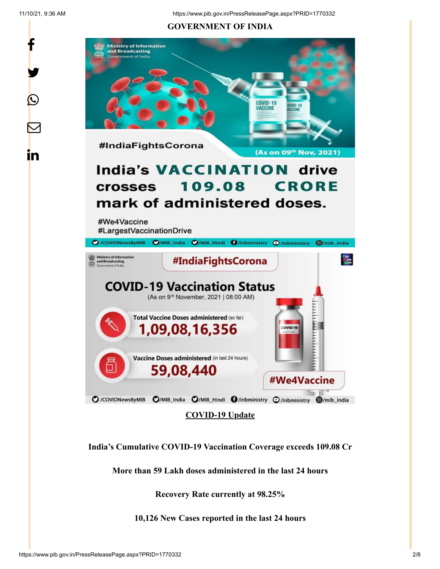f

y.

 $\bigcirc$ 

 $\bm{\nabla}$ 

in

## **GOVERNMENT OF INDIA**



**India's Cumulative COVID-19 Vaccination Coverage exceeds 109.08 Cr**

**More than 59 Lakh doses administered in the last 24 hours**

**Recovery Rate currently at 98.25%**

**10,126 New Cases reported in the last 24 hours**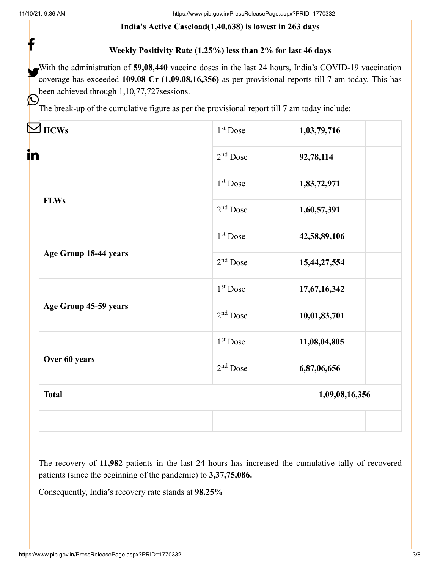f

Ŀ

## **India's Active Caseload(1,40,638) is lowest in 263 days**

## **Weekly Positivity Rate (1.25%) less than 2% for last 46 days**

With the administration of **59,08,440** vaccine doses in the last 24 hours, India's COVID-19 vaccination<br>coverage has exaceded 100.08 Cr. (1.00.08.16.356) as per provisional reports till 7 cm today. This has coverage has exceeded **109.08 Cr (1,09,08,16,356)** as per provisional reports till 7 am today. This has been achieved through 1,10,77,727sessions.

The break-up of the cumulative figure as per the provisional report till 7 am today include:

| <b>HCWs</b>                                                                    | 1 <sup>st</sup> Dose | 1,03,79,716    |
|--------------------------------------------------------------------------------|----------------------|----------------|
| in                                                                             | $2nd$ Dose           | 92,78,114      |
| <b>FLWs</b><br>Age Group 18-44 years<br>Age Group 45-59 years<br>Over 60 years | $1st$ Dose           | 1,83,72,971    |
|                                                                                | $2nd$ Dose           | 1,60,57,391    |
|                                                                                | 1 <sup>st</sup> Dose | 42,58,89,106   |
|                                                                                | $2nd$ Dose           | 15,44,27,554   |
|                                                                                | $1st$ Dose           | 17,67,16,342   |
|                                                                                | $2nd$ Dose           | 10,01,83,701   |
|                                                                                | 1 <sup>st</sup> Dose | 11,08,04,805   |
|                                                                                | $2nd$ Dose           | 6,87,06,656    |
| <b>Total</b>                                                                   |                      | 1,09,08,16,356 |
|                                                                                |                      |                |

The recovery of **11,982** patients in the last 24 hours has increased the cumulative tally of recovered patients (since the beginning of the pandemic) to **3,37,75,086.**

Consequently, India's recovery rate stands at **98.25%**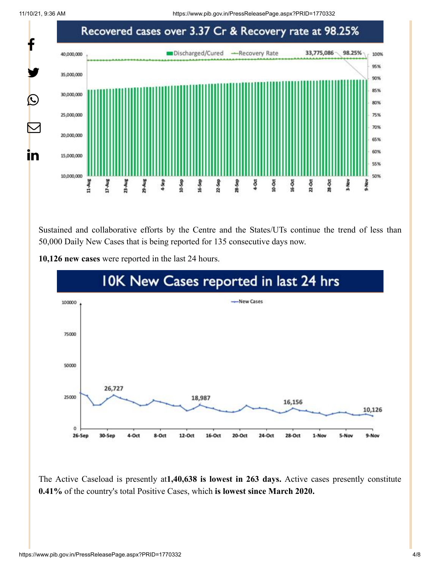11/10/21, 9:36 AM https://www.pib.gov.in/PressReleasePage.aspx?PRID=1770332



Sustained and collaborative efforts by the Centre and the States/UTs continue the trend of less than 50,000 Daily New Cases that is being reported for 135 consecutive days now.



**10,126 new cases** were reported in the last 24 hours.

The Active Caseload is presently at**1,40,638 is lowest in 263 days.** Active cases presently constitute **0.41%** of the country's total Positive Cases, which **is lowest since March 2020.**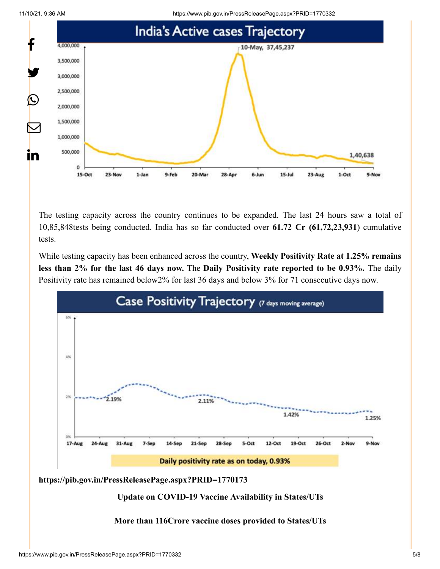11/10/21, 9:36 AM https://www.pib.gov.in/PressReleasePage.aspx?PRID=1770332





The testing capacity across the country continues to be expanded. The last 24 hours saw a total of 10,85,848tests being conducted. India has so far conducted over **61.72 Cr (61,72,23,931**) cumulative tests.

While testing capacity has been enhanced across the country, **Weekly Positivity Rate at 1.25% remains less than 2% for the last 46 days now.** The **Daily Positivity rate reported to be 0.93%.** The daily Positivity rate has remained below2% for last 36 days and below 3% for 71 consecutive days now.



**<https://pib.gov.in/PressReleasePage.aspx?PRID=1770173>**

**Update on COVID-19 Vaccine Availability in States/UTs**

**More than 116Crore vaccine doses provided to States/UTs**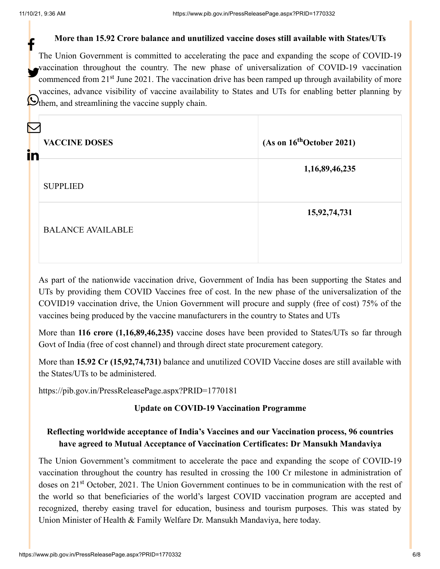## **More than 15.92 Crore balance and unutilized vaccine doses still available with States/UTs**

The Union Government is committed to accelerating the pace and expanding the scope of COVID-19 vaccination throughout the country. The new phase of universalization of COVID-19 vaccination commenced from 21<sup>st</sup> June 2021. The vaccination drive has been ramped up through availability of more vaccines, advance visibility of vaccine availability to States and UTs for enabling better planning by Othem, and streamlining the vaccine supply chain. f

| in | <b>VACCINE DOSES</b>     | (As on 16 <sup>th</sup> October 2021) |
|----|--------------------------|---------------------------------------|
|    | <b>SUPPLIED</b>          | 1,16,89,46,235                        |
|    | <b>BALANCE AVAILABLE</b> | 15,92,74,731                          |

As part of the nationwide vaccination drive, Government of India has been supporting the States and UTs by providing them COVID Vaccines free of cost. In the new phase of the universalization of the COVID19 vaccination drive, the Union Government will procure and supply (free of cost) 75% of the vaccines being produced by the vaccine manufacturers in the country to States and UTs

More than **116 crore (1,16,89,46,235)** vaccine doses have been provided to States/UTs so far through Govt of India (free of cost channel) and through direct state procurement category.

More than **15.92 Cr (15,92,74,731)** balance and unutilized COVID Vaccine doses are still available with the States/UTs to be administered.

<https://pib.gov.in/PressReleasePage.aspx?PRID=1770181>

## **Update on COVID-19 Vaccination Programme**

# **Reflecting worldwide acceptance of India's Vaccines and our Vaccination process, 96 countries have agreed to Mutual Acceptance of Vaccination Certificates: Dr Mansukh Mandaviya**

The Union Government's commitment to accelerate the pace and expanding the scope of COVID-19 vaccination throughout the country has resulted in crossing the 100 Cr milestone in administration of doses on 21<sup>st</sup> October, 2021. The Union Government continues to be in communication with the rest of the world so that beneficiaries of the world's largest COVID vaccination program are accepted and recognized, thereby easing travel for education, business and tourism purposes. This was stated by Union Minister of Health & Family Welfare Dr. Mansukh Mandaviya, here today.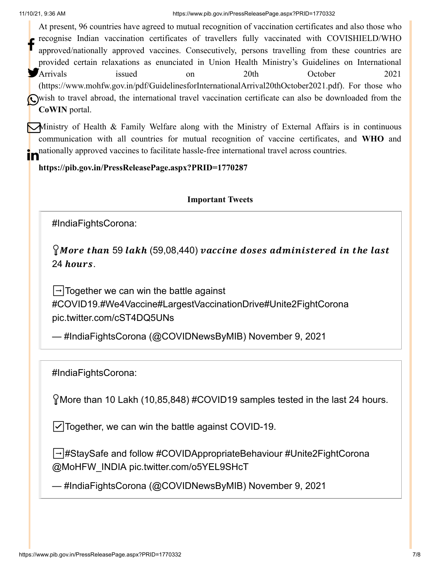At present, 96 countries have agreed to mutual recognition of vaccination certificates and also those who recognise Indian vaccination certificates of travellers fully vaccinated with COVISHIELD/WHO approved/nationally approved vaccines. Consecutively, persons travelling from these countries are provided certain relaxations as enunciated in Union Health Ministry's Guidelines on International Arrivals issued on 20th October 2021 ([https://www.mohfw.gov.in/pdf/GuidelinesforInternationalArrival20thOctober2021.pdf\)](https://www.mohfw.gov.in/pdf/GuidelinesforInternationalArrival20thOctober2021.pdf). For those who wish to travel abroad, the international travel vaccination certificate can also be downloaded from the **CoWIN** portal. f Arrivals

Ministry of Health & Family Welfare along with the Ministry of External Affairs is in continuous communication with all countries for mutual recognition of vaccine certificates, and **WHO** and nationally approved vaccines to facilitate hassle-free international travel across countries.

**<https://pib.gov.in/PressReleasePage.aspx?PRID=1770287>**

**Important Tweets**

[#IndiaFightsCorona](https://twitter.com/hashtag/IndiaFightsCorona?src=hash&ref_src=twsrc%5Etfw):

 $\Omega$ More than 59 lakh (59,08,440) vaccine doses administered in the last 24 hours.

 $\rightarrow$ Together we can win the battle against [#COVID19](https://twitter.com/hashtag/COVID19?src=hash&ref_src=twsrc%5Etfw)[.#We4Vaccine](https://twitter.com/hashtag/We4Vaccine?src=hash&ref_src=twsrc%5Etfw)[#LargestVaccinationDrive](https://twitter.com/hashtag/LargestVaccinationDrive?src=hash&ref_src=twsrc%5Etfw)[#Unite2FightCorona](https://twitter.com/hashtag/Unite2FightCorona?src=hash&ref_src=twsrc%5Etfw) [pic.twitter.com/cST4DQ5UNs](https://t.co/cST4DQ5UNs)

— #IndiaFightsCorona (@COVIDNewsByMIB) [November 9, 2021](https://twitter.com/COVIDNewsByMIB/status/1457957327462551552?ref_src=twsrc%5Etfw)

[#IndiaFightsCorona](https://twitter.com/hashtag/IndiaFightsCorona?src=hash&ref_src=twsrc%5Etfw):

More than 10 Lakh (10,85,848) [#COVID19](https://twitter.com/hashtag/COVID19?src=hash&ref_src=twsrc%5Etfw) samples tested in the last 24 hours.

☑️Together, we can win the battle against COVID-19.

➡️[#StaySafe](https://twitter.com/hashtag/StaySafe?src=hash&ref_src=twsrc%5Etfw) and follow [#COVIDAppropriateBehaviour](https://twitter.com/hashtag/COVIDAppropriateBehaviour?src=hash&ref_src=twsrc%5Etfw) [#Unite2FightCorona](https://twitter.com/hashtag/Unite2FightCorona?src=hash&ref_src=twsrc%5Etfw) [@MoHFW\\_INDIA](https://twitter.com/MoHFW_INDIA?ref_src=twsrc%5Etfw) [pic.twitter.com/o5YEL9SHcT](https://t.co/o5YEL9SHcT)

— #IndiaFightsCorona (@COVIDNewsByMIB) [November 9, 2021](https://twitter.com/COVIDNewsByMIB/status/1458033686004178948?ref_src=twsrc%5Etfw)